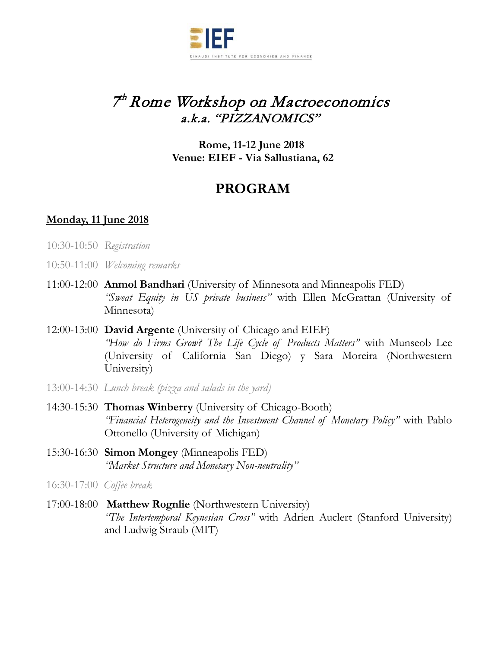

# 7 th Rome Workshop on Macroeconomics a.k.a. "PIZZANOMICS"

**Rome, 11-12 June 2018 Venue: EIEF - Via Sallustiana, 62** 

## **PROGRAM**

## **Monday, 11 June 2018**

- 10:30-10:50 *Registration*
- 10:50-11:00 *Welcoming remarks*
- 11:00-12:00 **Anmol Bandhari** (University of Minnesota and Minneapolis FED) *"Sweat Equity in US private business"* with Ellen McGrattan (University of Minnesota)
- 12:00-13:00 **David Argente** (University of Chicago and EIEF) *"How do Firms Grow? The Life Cycle of Products Matters"* with Munseob Lee (University of California San Diego) y Sara Moreira (Northwestern University)
- 13:00-14:30 *Lunch break (pizza and salads in the yard)*
- 14:30-15:30 **Thomas Winberry** (University of Chicago-Booth) *"Financial Heterogeneity and the Investment Channel of Monetary Policy"* with Pablo Ottonello (University of Michigan)
- 15:30-16:30 **Simon Mongey** (Minneapolis FED) *"Market Structure and Monetary Non-neutrality"*
- 16:30-17:00 *Coffee break*
- 17:00-18:00 **Matthew Rognlie** (Northwestern University) *"The Intertemporal Keynesian Cross"* with Adrien Auclert (Stanford University) and Ludwig Straub (MIT)